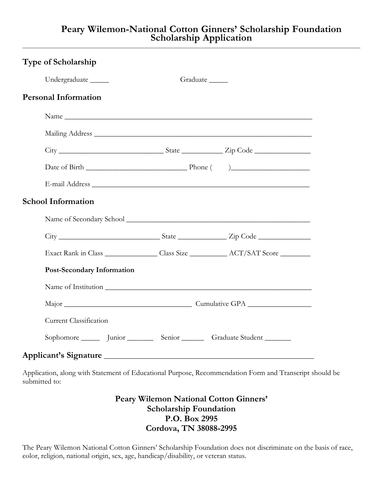## **Peary Wilemon-National Cotton Ginners' Scholarship Foundation Scholarship Application**

| <b>Type of Scholarship</b>                                                                                                                                                                                                    |                      |                                                                                          |
|-------------------------------------------------------------------------------------------------------------------------------------------------------------------------------------------------------------------------------|----------------------|------------------------------------------------------------------------------------------|
| Undergraduate ______                                                                                                                                                                                                          | Graduate _____       |                                                                                          |
| <b>Personal Information</b>                                                                                                                                                                                                   |                      |                                                                                          |
|                                                                                                                                                                                                                               |                      |                                                                                          |
|                                                                                                                                                                                                                               |                      |                                                                                          |
|                                                                                                                                                                                                                               |                      |                                                                                          |
|                                                                                                                                                                                                                               |                      |                                                                                          |
| E-mail Address Leader and the contract of the contract of the contract of the contract of the contract of the contract of the contract of the contract of the contract of the contract of the contract of the contract of the |                      |                                                                                          |
| <b>School Information</b>                                                                                                                                                                                                     |                      |                                                                                          |
|                                                                                                                                                                                                                               |                      |                                                                                          |
|                                                                                                                                                                                                                               |                      |                                                                                          |
|                                                                                                                                                                                                                               |                      |                                                                                          |
| <b>Post-Secondary Information</b>                                                                                                                                                                                             |                      |                                                                                          |
|                                                                                                                                                                                                                               |                      | Name of Institution expansion of the same of Institution expansion of the same of $\sim$ |
|                                                                                                                                                                                                                               | Major Cumulative GPA |                                                                                          |
| <b>Current Classification</b>                                                                                                                                                                                                 |                      |                                                                                          |
| Sophomore Junior Senior Graduate Student                                                                                                                                                                                      |                      |                                                                                          |
| Applicant's Signature                                                                                                                                                                                                         |                      |                                                                                          |

Application, along with Statement of Educational Purpose, Recommendation Form and Transcript should be submitted to:

> **Peary Wilemon National Cotton Ginners' Scholarship Foundation P.O. Box 2995 Cordova, TN 38088-2995**

The Peary Wilemon National Cotton Ginners' Scholarship Foundation does not discriminate on the basis of race, color, religion, national origin, sex, age, handicap/disability, or veteran status.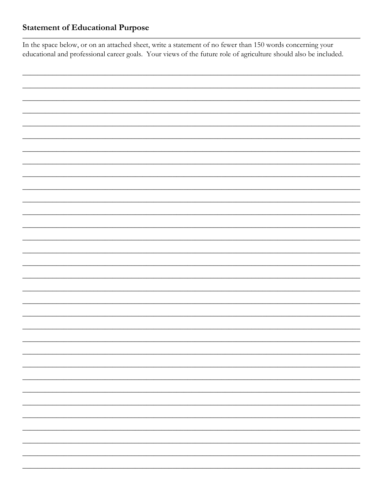## **Statement of Educational Purpose**

In the space below, or on an attached sheet, write a statement of no fewer than 150 words concerning your educational and professional career goals. Your views of the future role of agriculture should also be included.